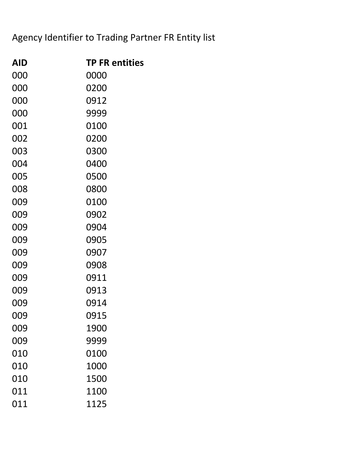## Agency Identifier to Trading Partner FR Entity list

| AID | <b>TP FR entities</b> |
|-----|-----------------------|
| 000 | 0000                  |
| 000 | 0200                  |
| 000 | 0912                  |
| 000 | 9999                  |
| 001 | 0100                  |
| 002 | 0200                  |
| 003 | 0300                  |
| 004 | 0400                  |
| 005 | 0500                  |
| 008 | 0800                  |
| 009 | 0100                  |
| 009 | 0902                  |
| 009 | 0904                  |
| 009 | 0905                  |
| 009 | 0907                  |
| 009 | 0908                  |
| 009 | 0911                  |
| 009 | 0913                  |
| 009 | 0914                  |
| 009 | 0915                  |
| 009 | 1900                  |
| 009 | 9999                  |
| 010 | 0100                  |
| 010 | 1000                  |
| 010 | 1500                  |
| 011 | 1100                  |
| 011 | 1125                  |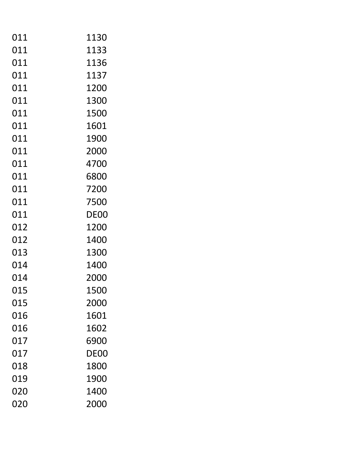| 011 | 1130 |
|-----|------|
| 011 | 1133 |
| 011 | 1136 |
| 011 | 1137 |
| 011 | 1200 |
| 011 | 1300 |
| 011 | 1500 |
| 011 | 1601 |
| 011 | 1900 |
| 011 | 2000 |
| 011 | 4700 |
| 011 | 6800 |
| 011 | 7200 |
| 011 | 7500 |
| 011 | DE00 |
| 012 | 1200 |
| 012 | 1400 |
| 013 | 1300 |
| 014 | 1400 |
| 014 | 2000 |
| 015 | 1500 |
| 015 | 2000 |
| 016 | 1601 |
| 016 | 1602 |
| 017 | 6900 |
| 017 | DE00 |
| 018 | 1800 |
| 019 | 1900 |
| 020 | 1400 |
| 020 | 2000 |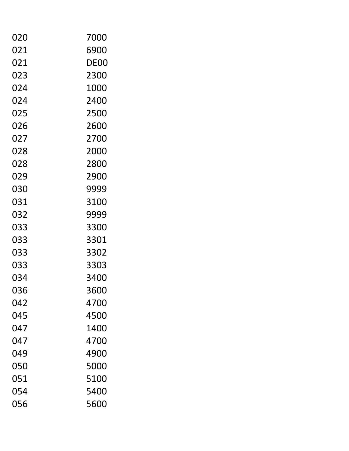| 020 | 7000 |
|-----|------|
| 021 | 6900 |
| 021 | DE00 |
| 023 | 2300 |
| 024 | 1000 |
| 024 | 2400 |
| 025 | 2500 |
| 026 | 2600 |
| 027 | 2700 |
| 028 | 2000 |
| 028 | 2800 |
| 029 | 2900 |
| 030 | 9999 |
| 031 | 3100 |
| 032 | 9999 |
| 033 | 3300 |
| 033 | 3301 |
| 033 | 3302 |
| 033 | 3303 |
| 034 | 3400 |
| 036 | 3600 |
| 042 | 4700 |
| 045 | 4500 |
| 047 | 1400 |
| 047 | 4700 |
| 049 | 4900 |
| 050 | 5000 |
| 051 | 5100 |
| 054 | 5400 |
| 056 | 5600 |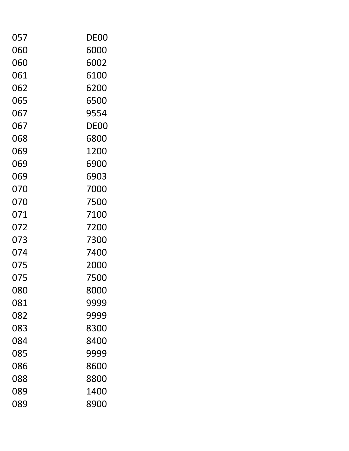| 057 | DE00 |
|-----|------|
| 060 | 6000 |
| 060 | 6002 |
| 061 | 6100 |
| 062 | 6200 |
| 065 | 6500 |
| 067 | 9554 |
| 067 | DE00 |
| 068 | 6800 |
| 069 | 1200 |
| 069 | 6900 |
| 069 | 6903 |
| 070 | 7000 |
| 070 | 7500 |
| 071 | 7100 |
| 072 | 7200 |
| 073 | 7300 |
| 074 | 7400 |
| 075 | 2000 |
| 075 | 7500 |
| 080 | 8000 |
| 081 | 9999 |
| 082 | 9999 |
| 083 | 8300 |
| 084 | 8400 |
| 085 | 9999 |
| 086 | 8600 |
| 088 | 8800 |
| 089 | 1400 |
| 089 | 8900 |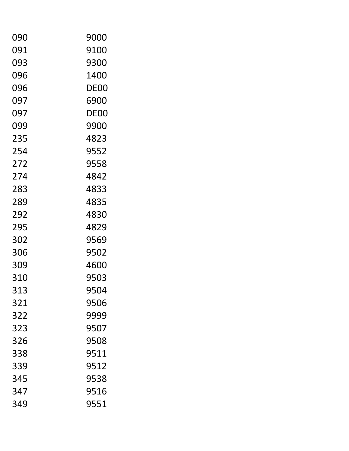| 090 | 9000 |
|-----|------|
| 091 | 9100 |
| 093 | 9300 |
| 096 | 1400 |
| 096 | DE00 |
| 097 | 6900 |
| 097 | DE00 |
| 099 | 9900 |
| 235 | 4823 |
| 254 | 9552 |
| 272 | 9558 |
| 274 | 4842 |
| 283 | 4833 |
| 289 | 4835 |
| 292 | 4830 |
| 295 | 4829 |
| 302 | 9569 |
| 306 | 9502 |
| 309 | 4600 |
| 310 | 9503 |
| 313 | 9504 |
| 321 | 9506 |
| 322 | 9999 |
| 323 | 9507 |
| 326 | 9508 |
| 338 | 9511 |
| 339 | 9512 |
| 345 | 9538 |
| 347 | 9516 |
| 349 | 9551 |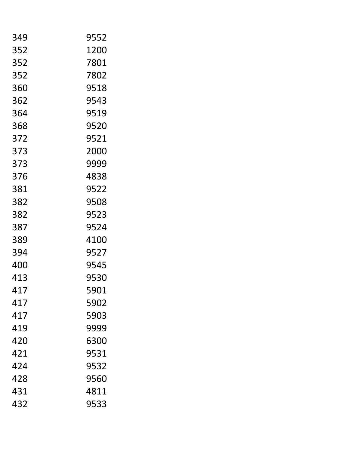| 349 | 9552 |
|-----|------|
| 352 | 1200 |
| 352 | 7801 |
| 352 | 7802 |
| 360 | 9518 |
| 362 | 9543 |
| 364 | 9519 |
| 368 | 9520 |
| 372 | 9521 |
| 373 | 2000 |
| 373 | 9999 |
| 376 | 4838 |
| 381 | 9522 |
| 382 | 9508 |
| 382 | 9523 |
| 387 | 9524 |
| 389 | 4100 |
| 394 | 9527 |
| 400 | 9545 |
| 413 | 9530 |
| 417 | 5901 |
| 417 | 5902 |
| 417 | 5903 |
| 419 | 9999 |
| 420 | 6300 |
| 421 | 9531 |
| 424 | 9532 |
| 428 | 9560 |
| 431 | 4811 |
| 432 | 9533 |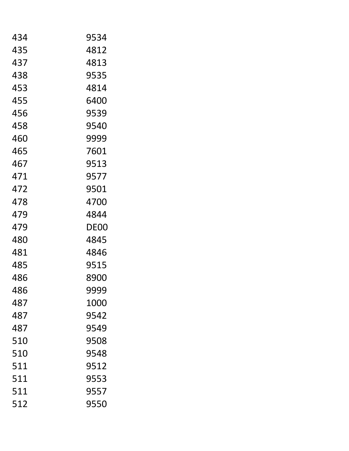| 434 | 9534 |
|-----|------|
| 435 | 4812 |
| 437 | 4813 |
| 438 | 9535 |
| 453 | 4814 |
| 455 | 6400 |
| 456 | 9539 |
| 458 | 9540 |
| 460 | 9999 |
| 465 | 7601 |
| 467 | 9513 |
| 471 | 9577 |
| 472 | 9501 |
| 478 | 4700 |
| 479 | 4844 |
| 479 | DE00 |
| 480 | 4845 |
| 481 | 4846 |
| 485 | 9515 |
| 486 | 8900 |
| 486 | 9999 |
| 487 | 1000 |
| 487 | 9542 |
| 487 | 9549 |
| 510 | 9508 |
| 510 | 9548 |
| 511 | 9512 |
| 511 | 9553 |
| 511 | 9557 |
| 512 | 9550 |